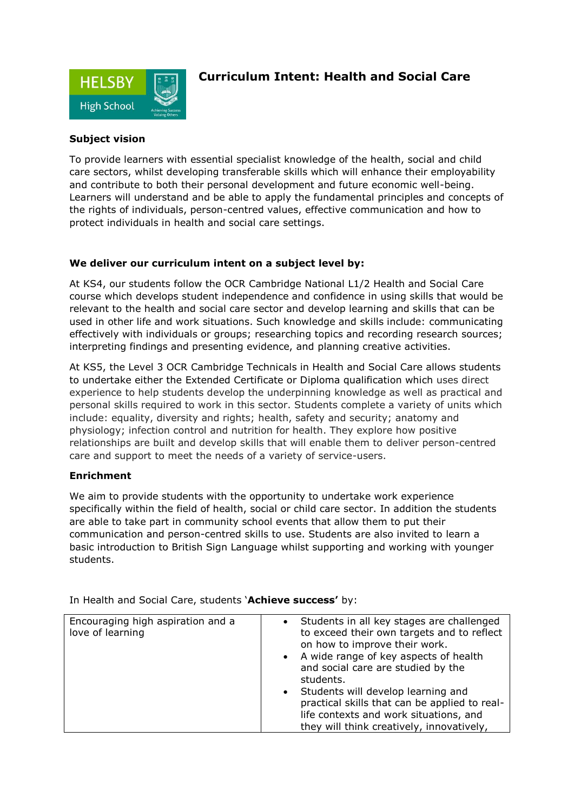

## **Curriculum Intent: Health and Social Care**

## **Subject vision**

To provide learners with essential specialist knowledge of the health, social and child care sectors, whilst developing transferable skills which will enhance their employability and contribute to both their personal development and future economic well-being. Learners will understand and be able to apply the fundamental principles and concepts of the rights of individuals, person-centred values, effective communication and how to protect individuals in health and social care settings.

## **We deliver our curriculum intent on a subject level by:**

At KS4, our students follow the OCR Cambridge National L1/2 Health and Social Care course which develops student independence and confidence in using skills that would be relevant to the health and social care sector and develop learning and skills that can be used in other life and work situations. Such knowledge and skills include: communicating effectively with individuals or groups; researching topics and recording research sources; interpreting findings and presenting evidence, and planning creative activities.

At KS5, the Level 3 OCR Cambridge Technicals in Health and Social Care allows students to undertake either the Extended Certificate or Diploma qualification which uses direct experience to help students develop the underpinning knowledge as well as practical and personal skills required to work in this sector. Students complete a variety of units which include: equality, diversity and rights; health, safety and security; anatomy and physiology; infection control and nutrition for health. They explore how positive relationships are built and develop skills that will enable them to deliver person-centred care and support to meet the needs of a variety of service-users.

## **Enrichment**

We aim to provide students with the opportunity to undertake work experience specifically within the field of health, social or child care sector. In addition the students are able to take part in community school events that allow them to put their communication and person-centred skills to use. Students are also invited to learn a basic introduction to British Sign Language whilst supporting and working with younger students.

| Encouraging high aspiration and a<br>love of learning | • Students in all key stages are challenged<br>to exceed their own targets and to reflect<br>on how to improve their work.<br>• A wide range of key aspects of health<br>and social care are studied by the<br>students.<br>• Students will develop learning and<br>practical skills that can be applied to real-<br>life contexts and work situations, and<br>they will think creatively, innovatively, |
|-------------------------------------------------------|----------------------------------------------------------------------------------------------------------------------------------------------------------------------------------------------------------------------------------------------------------------------------------------------------------------------------------------------------------------------------------------------------------|

In Health and Social Care, students '**Achieve success'** by: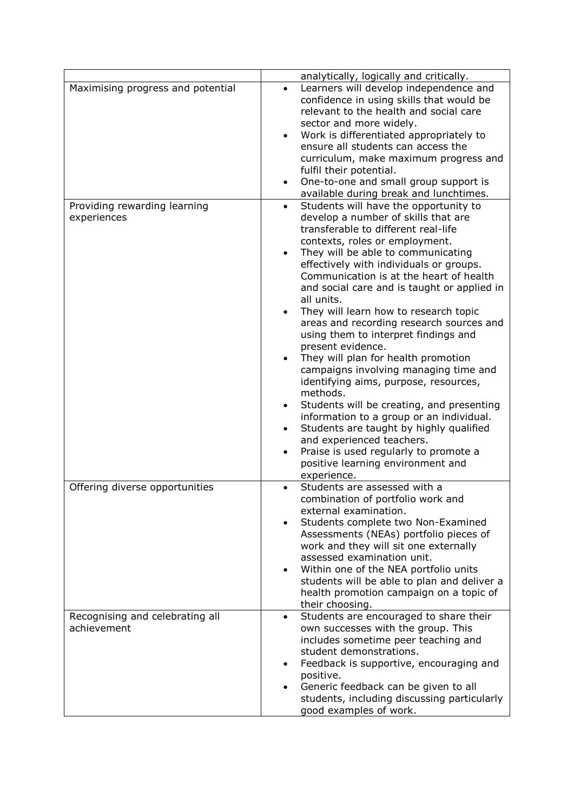|                                                | analytically, logically and critically.                                                                                                                                                                                                                                                                                                                                                                                                                                                                                                                                                                                                                                                                                                                                                                                                                      |
|------------------------------------------------|--------------------------------------------------------------------------------------------------------------------------------------------------------------------------------------------------------------------------------------------------------------------------------------------------------------------------------------------------------------------------------------------------------------------------------------------------------------------------------------------------------------------------------------------------------------------------------------------------------------------------------------------------------------------------------------------------------------------------------------------------------------------------------------------------------------------------------------------------------------|
| Maximising progress and potential              | Learners will develop independence and<br>$\bullet$<br>confidence in using skills that would be<br>relevant to the health and social care<br>sector and more widely.<br>Work is differentiated appropriately to<br>ensure all students can access the<br>curriculum, make maximum progress and<br>fulfil their potential.<br>One-to-one and small group support is                                                                                                                                                                                                                                                                                                                                                                                                                                                                                           |
|                                                | available during break and lunchtimes.                                                                                                                                                                                                                                                                                                                                                                                                                                                                                                                                                                                                                                                                                                                                                                                                                       |
| Providing rewarding learning<br>experiences    | Students will have the opportunity to<br>$\bullet$<br>develop a number of skills that are<br>transferable to different real-life<br>contexts, roles or employment.<br>They will be able to communicating<br>effectively with individuals or groups.<br>Communication is at the heart of health<br>and social care and is taught or applied in<br>all units.<br>They will learn how to research topic<br>areas and recording research sources and<br>using them to interpret findings and<br>present evidence.<br>They will plan for health promotion<br>campaigns involving managing time and<br>identifying aims, purpose, resources,<br>methods.<br>Students will be creating, and presenting<br>information to a group or an individual.<br>Students are taught by highly qualified<br>and experienced teachers.<br>Praise is used regularly to promote a |
|                                                | positive learning environment and<br>experience.                                                                                                                                                                                                                                                                                                                                                                                                                                                                                                                                                                                                                                                                                                                                                                                                             |
| Offering diverse opportunities                 | Students are assessed with a<br>combination of portfolio work and<br>external examination.<br>Students complete two Non-Examined<br>Assessments (NEAs) portfolio pieces of<br>work and they will sit one externally<br>assessed examination unit.<br>Within one of the NEA portfolio units<br>students will be able to plan and deliver a<br>health promotion campaign on a topic of<br>their choosing.                                                                                                                                                                                                                                                                                                                                                                                                                                                      |
| Recognising and celebrating all<br>achievement | Students are encouraged to share their<br>own successes with the group. This<br>includes sometime peer teaching and<br>student demonstrations.<br>Feedback is supportive, encouraging and<br>positive.<br>Generic feedback can be given to all<br>students, including discussing particularly<br>good examples of work.                                                                                                                                                                                                                                                                                                                                                                                                                                                                                                                                      |